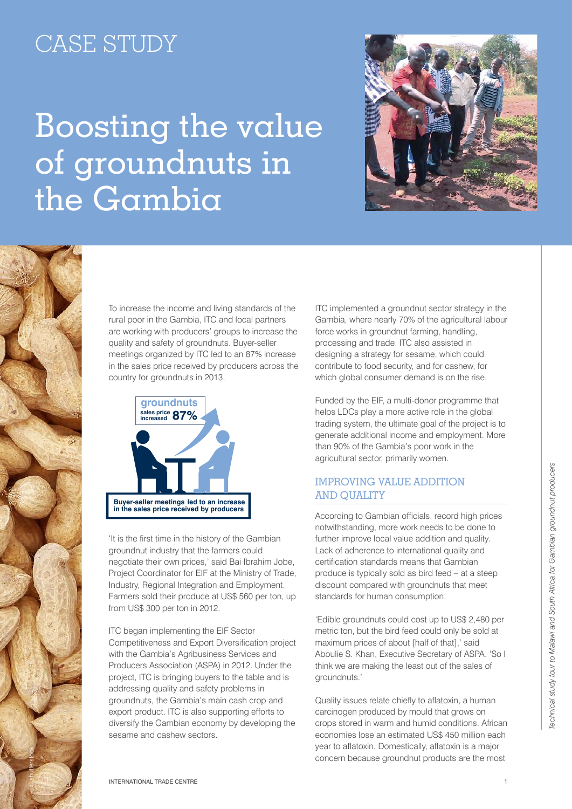## CASE STUDY

## Boosting the value of groundnuts in the Gambia





To increase the income and living standards of the rural poor in the Gambia, ITC and local partners are working with producers' groups to increase the quality and safety of groundnuts. Buyer-seller meetings organized by ITC led to an 87% increase in the sales price received by producers across the country for groundnuts in 2013.



'It is the first time in the history of the Gambian groundnut industry that the farmers could negotiate their own prices,' said Bai Ibrahim Jobe, Project Coordinator for EIF at the Ministry of Trade, Industry, Regional Integration and Employment. Farmers sold their produce at US\$ 560 per ton, up from US\$ 300 per ton in 2012.

ITC began implementing the EIF Sector Competitiveness and Export Diversification project with the Gambia's Agribusiness Services and Producers Association (ASPA) in 2012. Under the project, ITC is bringing buyers to the table and is addressing quality and safety problems in groundnuts, the Gambia's main cash crop and export product. ITC is also supporting efforts to diversify the Gambian economy by developing the sesame and cashew sectors.

ITC implemented a groundnut sector strategy in the Gambia, where nearly 70% of the agricultural labour force works in groundnut farming, handling, processing and trade. ITC also assisted in designing a strategy for sesame, which could contribute to food security, and for cashew, for which global consumer demand is on the rise.

Funded by the EIF, a multi-donor programme that helps LDCs play a more active role in the global trading system, the ultimate goal of the project is to generate additional income and employment. More than 90% of the Gambia's poor work in the agricultural sector, primarily women.

## Improving value addition and quality

According to Gambian officials, record high prices notwithstanding, more work needs to be done to further improve local value addition and quality. Lack of adherence to international quality and certification standards means that Gambian produce is typically sold as bird feed – at a steep discount compared with groundnuts that meet standards for human consumption.

'Edible groundnuts could cost up to US\$ 2,480 per metric ton, but the bird feed could only be sold at maximum prices of about [half of that],' said Aboulie S. Khan, Executive Secretary of ASPA. 'So I think we are making the least out of the sales of groundnuts.'

Quality issues relate chiefly to aflatoxin, a human carcinogen produced by mould that grows on crops stored in warm and humid conditions. African economies lose an estimated US\$ 450 million each year to aflatoxin. Domestically, aflatoxin is a major concern because groundnut products are the most